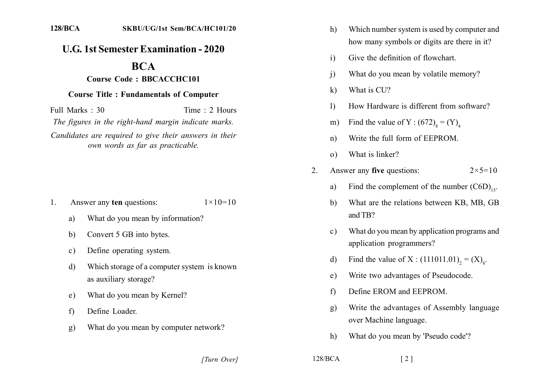## **U.G. 1st Semester Examination - 2020**

## **BCA**

## **Course Code: BBCACCHC101**

## **Course Title: Fundamentals of Computer**

Full Marks  $\cdot$  30 Time  $\cdot$  2 Hours The figures in the right-hand margin indicate marks. Candidates are required to give their answers in their own words as far as practicable.

- Answer any ten questions:  $1 \times 10 = 10$  $\mathbf{1}$ 
	- What do you mean by information? a)
	- Convert 5 GB into bytes.  $\mathbf{b}$
	- Define operating system.  $\mathbf{c}$ )
	- Which storage of a computer system is known  $\mathbf{d}$ as auxiliary storage?
	- What do you mean by Kernel? e)
	- Define Loader.  $f$
	- What do you mean by computer network? g)
- Which number system is used by computer and  $h)$ how many symbols or digits are there in it?
- Give the definition of flowchart.  $i)$
- What do you mean by volatile memory?  $\overline{1}$
- What is CU?  $\mathbf{k}$
- How Hardware is different from software?  $\mathbf{D}$
- Find the value of Y:  $(672)_{\rm s} = (Y)_{\rm A}$  $m)$
- Write the full form of EEPROM  $n)$
- What is linker?  $\Omega$
- Answer any five questions:  $2^{\circ}$  $2 \times 5 = 10$ 
	- Find the complement of the number  $(C6D)_{16}$ . a)
	- What are the relations between KB, MB, GB b) and TB?
	- What do you mean by application programs and  $\mathbf{c}$ ) application programmers?
	- Find the value of X :  $(111011.01)$ , =  $(X)$ <sub>s</sub>. d)
	- Write two advantages of Pseudocode.  $e)$
	- Define EROM and EEPROM.  $f$
	- Write the advantages of Assembly language  $g)$ over Machine language.
	- What do you mean by 'Pseudo code'?  $h)$

 $\lceil 2 \rceil$ 

[Turn Over]

 $128/BCA$